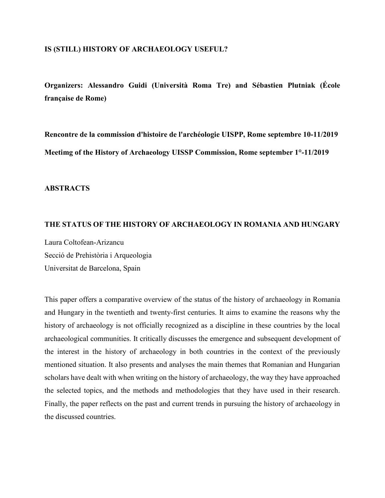### **IS (STILL) HISTORY OF ARCHAEOLOGY USEFUL?**

**Organizers: Alessandro Guidi (Università Roma Tre) and Sébastien Plutniak (École française de Rome)**

**Rencontre de la commission d'histoire de l'archéologie UISPP, Rome septembre 10-11/2019 Meetimg of the History of Archaeology UISSP Commission, Rome september 1°-11/2019**

### **ABSTRACTS**

### **THE STATUS OF THE HISTORY OF ARCHAEOLOGY IN ROMANIA AND HUNGARY**

Laura Coltofean-Arizancu Secció de Prehistòria i Arqueologia Universitat de Barcelona, Spain

This paper offers a comparative overview of the status of the history of archaeology in Romania and Hungary in the twentieth and twenty-first centuries. It aims to examine the reasons why the history of archaeology is not officially recognized as a discipline in these countries by the local archaeological communities. It critically discusses the emergence and subsequent development of the interest in the history of archaeology in both countries in the context of the previously mentioned situation. It also presents and analyses the main themes that Romanian and Hungarian scholars have dealt with when writing on the history of archaeology, the way they have approached the selected topics, and the methods and methodologies that they have used in their research. Finally, the paper reflects on the past and current trends in pursuing the history of archaeology in the discussed countries.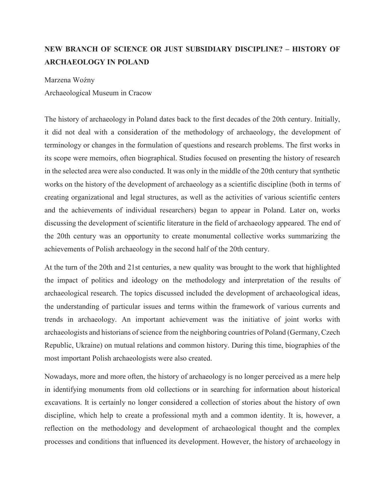# **NEW BRANCH OF SCIENCE OR JUST SUBSIDIARY DISCIPLINE? – HISTORY OF ARCHAEOLOGY IN POLAND**

Marzena Woźny Archaeological Museum in Cracow

The history of archaeology in Poland dates back to the first decades of the 20th century. Initially, it did not deal with a consideration of the methodology of archaeology, the development of terminology or changes in the formulation of questions and research problems. The first works in its scope were memoirs, often biographical. Studies focused on presenting the history of research in the selected area were also conducted. It was only in the middle of the 20th century that synthetic works on the history of the development of archaeology as a scientific discipline (both in terms of creating organizational and legal structures, as well as the activities of various scientific centers and the achievements of individual researchers) began to appear in Poland. Later on, works discussing the development of scientific literature in the field of archaeology appeared. The end of the 20th century was an opportunity to create monumental collective works summarizing the achievements of Polish archaeology in the second half of the 20th century.

At the turn of the 20th and 21st centuries, a new quality was brought to the work that highlighted the impact of politics and ideology on the methodology and interpretation of the results of archaeological research. The topics discussed included the development of archaeological ideas, the understanding of particular issues and terms within the framework of various currents and trends in archaeology. An important achievement was the initiative of joint works with archaeologists and historians of science from the neighboring countries of Poland (Germany, Czech Republic, Ukraine) on mutual relations and common history. During this time, biographies of the most important Polish archaeologists were also created.

Nowadays, more and more often, the history of archaeology is no longer perceived as a mere help in identifying monuments from old collections or in searching for information about historical excavations. It is certainly no longer considered a collection of stories about the history of own discipline, which help to create a professional myth and a common identity. It is, however, a reflection on the methodology and development of archaeological thought and the complex processes and conditions that influenced its development. However, the history of archaeology in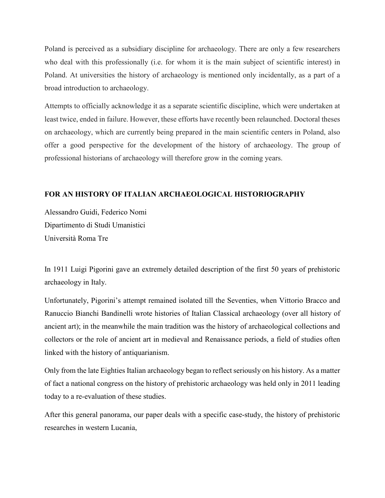Poland is perceived as a subsidiary discipline for archaeology. There are only a few researchers who deal with this professionally (i.e. for whom it is the main subject of scientific interest) in Poland. At universities the history of archaeology is mentioned only incidentally, as a part of a broad introduction to archaeology.

Attempts to officially acknowledge it as a separate scientific discipline, which were undertaken at least twice, ended in failure. However, these efforts have recently been relaunched. Doctoral theses on archaeology, which are currently being prepared in the main scientific centers in Poland, also offer a good perspective for the development of the history of archaeology. The group of professional historians of archaeology will therefore grow in the coming years.

## **FOR AN HISTORY OF ITALIAN ARCHAEOLOGICAL HISTORIOGRAPHY**

Alessandro Guidi, Federico Nomi Dipartimento di Studi Umanistici Università Roma Tre

In 1911 Luigi Pigorini gave an extremely detailed description of the first 50 years of prehistoric archaeology in Italy.

Unfortunately, Pigorini's attempt remained isolated till the Seventies, when Vittorio Bracco and Ranuccio Bianchi Bandinelli wrote histories of Italian Classical archaeology (over all history of ancient art); in the meanwhile the main tradition was the history of archaeological collections and collectors or the role of ancient art in medieval and Renaissance periods, a field of studies often linked with the history of antiquarianism.

Only from the late Eighties Italian archaeology began to reflect seriously on his history. As a matter of fact a national congress on the history of prehistoric archaeology was held only in 2011 leading today to a re-evaluation of these studies.

After this general panorama, our paper deals with a specific case-study, the history of prehistoric researches in western Lucania,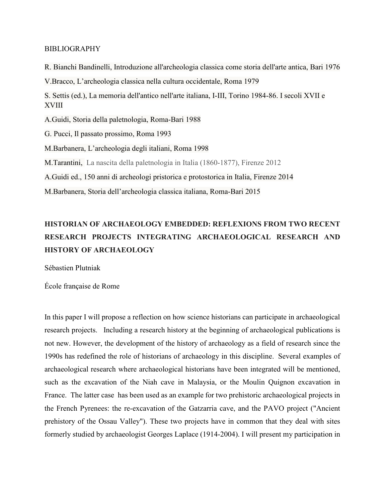#### BIBLIOGRAPHY

R. Bianchi Bandinelli, Introduzione all'archeologia classica come storia dell'arte antica, Bari 1976 V.Bracco, L'archeologia classica nella cultura occidentale, Roma 1979 S. Settis (ed.), La memoria dell'antico nell'arte italiana, I-III, Torino 1984-86. I secoli XVII e XVIII A.Guidi, Storia della paletnologia, Roma-Bari 1988 G. Pucci, Il passato prossimo, Roma 1993 M.Barbanera, L'archeologia degli italiani, Roma 1998 M.Tarantini, La nascita della paletnologia in Italia (1860-1877), Firenze 2012 A.Guidi ed., 150 anni di archeologi pristorica e protostorica in Italia, Firenze 2014 M.Barbanera, Storia dell'archeologia classica italiana, Roma-Bari 2015

# **HISTORIAN OF ARCHAEOLOGY EMBEDDED: REFLEXIONS FROM TWO RECENT RESEARCH PROJECTS INTEGRATING ARCHAEOLOGICAL RESEARCH AND HISTORY OF ARCHAEOLOGY**

Sébastien Plutniak

École française de Rome

In this paper I will propose a reflection on how science historians can participate in archaeological research projects. Including a research history at the beginning of archaeological publications is not new. However, the development of the history of archaeology as a field of research since the 1990s has redefined the role of historians of archaeology in this discipline. Several examples of archaeological research where archaeological historians have been integrated will be mentioned, such as the excavation of the Niah cave in Malaysia, or the Moulin Quignon excavation in France. The latter case has been used as an example for two prehistoric archaeological projects in the French Pyrenees: the re-excavation of the Gatzarria cave, and the PAVO project ("Ancient prehistory of the Ossau Valley"). These two projects have in common that they deal with sites formerly studied by archaeologist Georges Laplace (1914-2004). I will present my participation in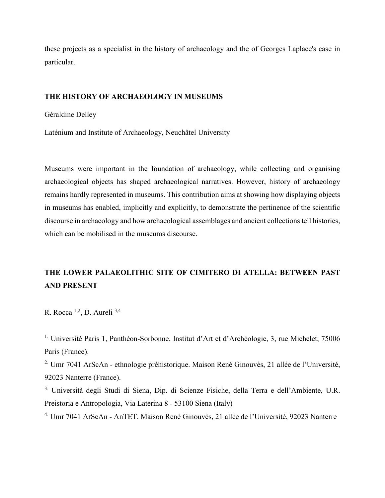these projects as a specialist in the history of archaeology and the of Georges Laplace's case in particular.

### **THE HISTORY OF ARCHAEOLOGY IN MUSEUMS**

Géraldine Delley

Laténium and Institute of Archaeology, Neuchâtel University

Museums were important in the foundation of archaeology, while collecting and organising archaeological objects has shaped archaeological narratives. However, history of archaeology remains hardly represented in museums. This contribution aims at showing how displaying objects in museums has enabled, implicitly and explicitly, to demonstrate the pertinence of the scientific discourse in archaeology and how archaeological assemblages and ancient collections tell histories, which can be mobilised in the museums discourse.

# **THE LOWER PALAEOLITHIC SITE OF CIMITERO DI ATELLA: BETWEEN PAST AND PRESENT**

R. Rocca 1,2, D. Aureli 3,4

<sup>1.</sup> Université Paris 1, Panthéon-Sorbonne. Institut d'Art et d'Archéologie, 3, rue Michelet, 75006 Paris (France).

<sup>2.</sup> Umr 7041 ArScAn - ethnologie préhistorique. Maison René Ginouvès, 21 allée de l'Université, 92023 Nanterre (France).

<sup>3.</sup> Università degli Studi di Siena, Dip. di Scienze Fisiche, della Terra e dell'Ambiente, U.R. Preistoria e Antropologia, Via Laterina 8 - 53100 Siena (Italy)

4. Umr 7041 ArScAn - AnTET. Maison René Ginouvès, 21 allée de l'Université, 92023 Nanterre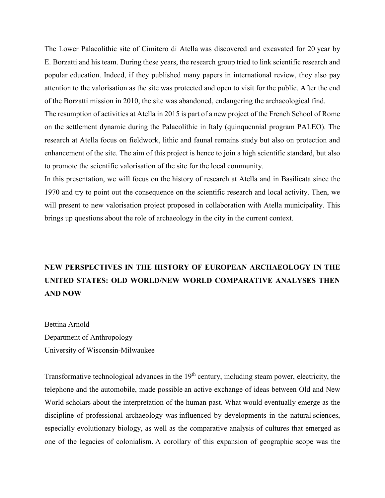The Lower Palaeolithic site of Cimitero di Atella was discovered and excavated for 20 year by E. Borzatti and his team. During these years, the research group tried to link scientific research and popular education. Indeed, if they published many papers in international review, they also pay attention to the valorisation as the site was protected and open to visit for the public. After the end of the Borzatti mission in 2010, the site was abandoned, endangering the archaeological find.

The resumption of activities at Atella in 2015 is part of a new project of the French School of Rome on the settlement dynamic during the Palaeolithic in Italy (quinquennial program PALEO). The research at Atella focus on fieldwork, lithic and faunal remains study but also on protection and enhancement of the site. The aim of this project is hence to join a high scientific standard, but also to promote the scientific valorisation of the site for the local community.

In this presentation, we will focus on the history of research at Atella and in Basilicata since the 1970 and try to point out the consequence on the scientific research and local activity. Then, we will present to new valorisation project proposed in collaboration with Atella municipality. This brings up questions about the role of archaeology in the city in the current context.

# **NEW PERSPECTIVES IN THE HISTORY OF EUROPEAN ARCHAEOLOGY IN THE UNITED STATES: OLD WORLD/NEW WORLD COMPARATIVE ANALYSES THEN AND NOW**

Bettina Arnold Department of Anthropology University of Wisconsin-Milwaukee

Transformative technological advances in the 19<sup>th</sup> century, including steam power, electricity, the telephone and the automobile, made possible an active exchange of ideas between Old and New World scholars about the interpretation of the human past. What would eventually emerge as the discipline of professional archaeology was influenced by developments in the natural sciences, especially evolutionary biology, as well as the comparative analysis of cultures that emerged as one of the legacies of colonialism. A corollary of this expansion of geographic scope was the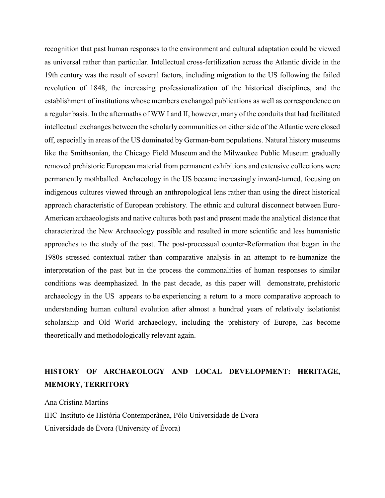recognition that past human responses to the environment and cultural adaptation could be viewed as universal rather than particular. Intellectual cross-fertilization across the Atlantic divide in the 19th century was the result of several factors, including migration to the US following the failed revolution of 1848, the increasing professionalization of the historical disciplines, and the establishment of institutions whose members exchanged publications as well as correspondence on a regular basis. In the aftermaths of WW I and II, however, many of the conduits that had facilitated intellectual exchanges between the scholarly communities on either side of the Atlantic were closed off, especially in areas of the US dominated by German-born populations. Natural history museums like the Smithsonian, the Chicago Field Museum and the Milwaukee Public Museum gradually removed prehistoric European material from permanent exhibitions and extensive collections were permanently mothballed. Archaeology in the US became increasingly inward-turned, focusing on indigenous cultures viewed through an anthropological lens rather than using the direct historical approach characteristic of European prehistory. The ethnic and cultural disconnect between Euro-American archaeologists and native cultures both past and present made the analytical distance that characterized the New Archaeology possible and resulted in more scientific and less humanistic approaches to the study of the past. The post-processual counter-Reformation that began in the 1980s stressed contextual rather than comparative analysis in an attempt to re-humanize the interpretation of the past but in the process the commonalities of human responses to similar conditions was deemphasized. In the past decade, as this paper will demonstrate, prehistoric archaeology in the US appears to be experiencing a return to a more comparative approach to understanding human cultural evolution after almost a hundred years of relatively isolationist scholarship and Old World archaeology, including the prehistory of Europe, has become theoretically and methodologically relevant again.

## **HISTORY OF ARCHAEOLOGY AND LOCAL DEVELOPMENT: HERITAGE, MEMORY, TERRITORY**

Ana Cristina Martins IHC-Instituto de História Contemporânea, Pólo Universidade de Évora Universidade de Évora (University of Évora)